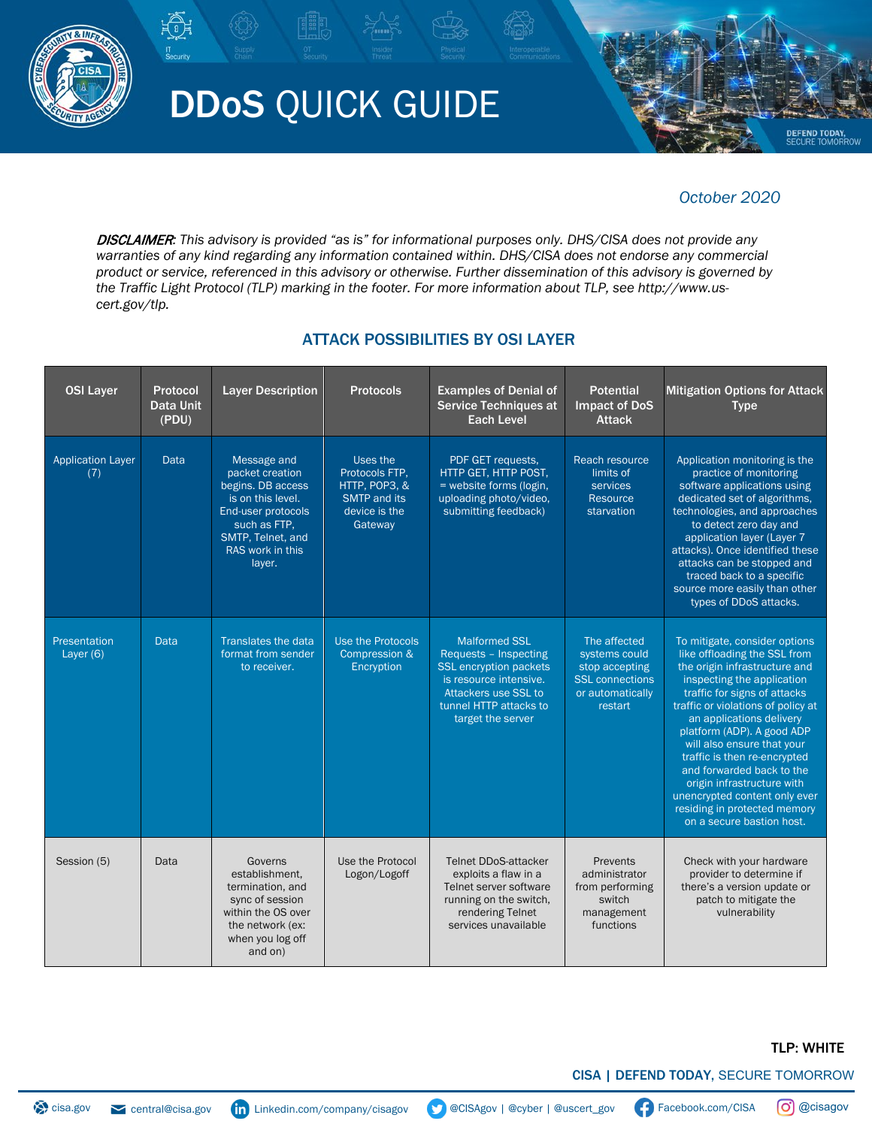

# DDoS QUICK GUIDE

## *October 2020*

**DEFEND TODAY,<br>SECURE TOMORROW** 

DISCLAIMER*: This advisory is provided "as is" for informational purposes only. DHS/CISA does not provide any warranties of any kind regarding any information contained within. DHS/CISA does not endorse any commercial product or service, referenced in this advisory or otherwise. Further dissemination of this advisory is governed by the Traffic Light Protocol (TLP) marking in the footer. For more information about TLP, see [http://www.us](http://www.us-cert.gov/tlp)[cert.gov/tlp.](http://www.us-cert.gov/tlp)* 

### ATTACK POSSIBILITIES BY OSI LAYER

| <b>OSI Layer</b>                | Protocol<br><b>Data Unit</b><br>(PDU) | <b>Layer Description</b>                                                                                                                                          | <b>Protocols</b>                                                                        | <b>Examples of Denial of</b><br><b>Service Techniques at</b><br><b>Each Level</b>                                                                                        | <b>Potential</b><br><b>Impact of DoS</b><br><b>Attack</b>                                                | <b>Mitigation Options for Attack</b><br><b>Type</b>                                                                                                                                                                                                                                                                                                                                                                                                                                 |
|---------------------------------|---------------------------------------|-------------------------------------------------------------------------------------------------------------------------------------------------------------------|-----------------------------------------------------------------------------------------|--------------------------------------------------------------------------------------------------------------------------------------------------------------------------|----------------------------------------------------------------------------------------------------------|-------------------------------------------------------------------------------------------------------------------------------------------------------------------------------------------------------------------------------------------------------------------------------------------------------------------------------------------------------------------------------------------------------------------------------------------------------------------------------------|
| <b>Application Layer</b><br>(7) | Data                                  | Message and<br>packet creation<br>begins. DB access<br>is on this level.<br>End-user protocols<br>such as FTP,<br>SMTP, Telnet, and<br>RAS work in this<br>layer. | Uses the<br>Protocols FTP,<br>HTTP, POP3, &<br>SMTP and its<br>device is the<br>Gateway | PDF GET requests.<br>HTTP GET, HTTP POST,<br>= website forms (login,<br>uploading photo/video.<br>submitting feedback)                                                   | Reach resource<br>limits of<br>services<br>Resource<br>starvation                                        | Application monitoring is the<br>practice of monitoring<br>software applications using<br>dedicated set of algorithms.<br>technologies, and approaches<br>to detect zero day and<br>application layer (Layer 7<br>attacks). Once identified these<br>attacks can be stopped and<br>traced back to a specific<br>source more easily than other<br>types of DDoS attacks.                                                                                                             |
| Presentation<br>Layer (6)       | Data                                  | Translates the data<br>format from sender<br>to receiver.                                                                                                         | Use the Protocols<br>Compression &<br>Encryption                                        | <b>Malformed SSL</b><br>Requests - Inspecting<br>SSL encryption packets<br>is resource intensive.<br>Attackers use SSL to<br>tunnel HTTP attacks to<br>target the server | The affected<br>systems could<br>stop accepting<br><b>SSL connections</b><br>or automatically<br>restart | To mitigate, consider options<br>like offloading the SSL from<br>the origin infrastructure and<br>inspecting the application<br>traffic for signs of attacks<br>traffic or violations of policy at<br>an applications delivery<br>platform (ADP). A good ADP<br>will also ensure that your<br>traffic is then re-encrypted<br>and forwarded back to the<br>origin infrastructure with<br>unencrypted content only ever<br>residing in protected memory<br>on a secure bastion host. |
| Session (5)                     | Data                                  | Governs<br>establishment.<br>termination, and<br>sync of session<br>within the OS over<br>the network (ex:<br>when you log off<br>and on)                         | Use the Protocol<br>Logon/Logoff                                                        | <b>Telnet DDoS-attacker</b><br>exploits a flaw in a<br>Telnet server software<br>running on the switch,<br>rendering Telnet<br>services unavailable                      | Prevents<br>administrator<br>from performing<br>switch<br>management<br>functions                        | Check with your hardware<br>provider to determine if<br>there's a version update or<br>patch to mitigate the<br>vulnerability                                                                                                                                                                                                                                                                                                                                                       |

### TLP: WHITE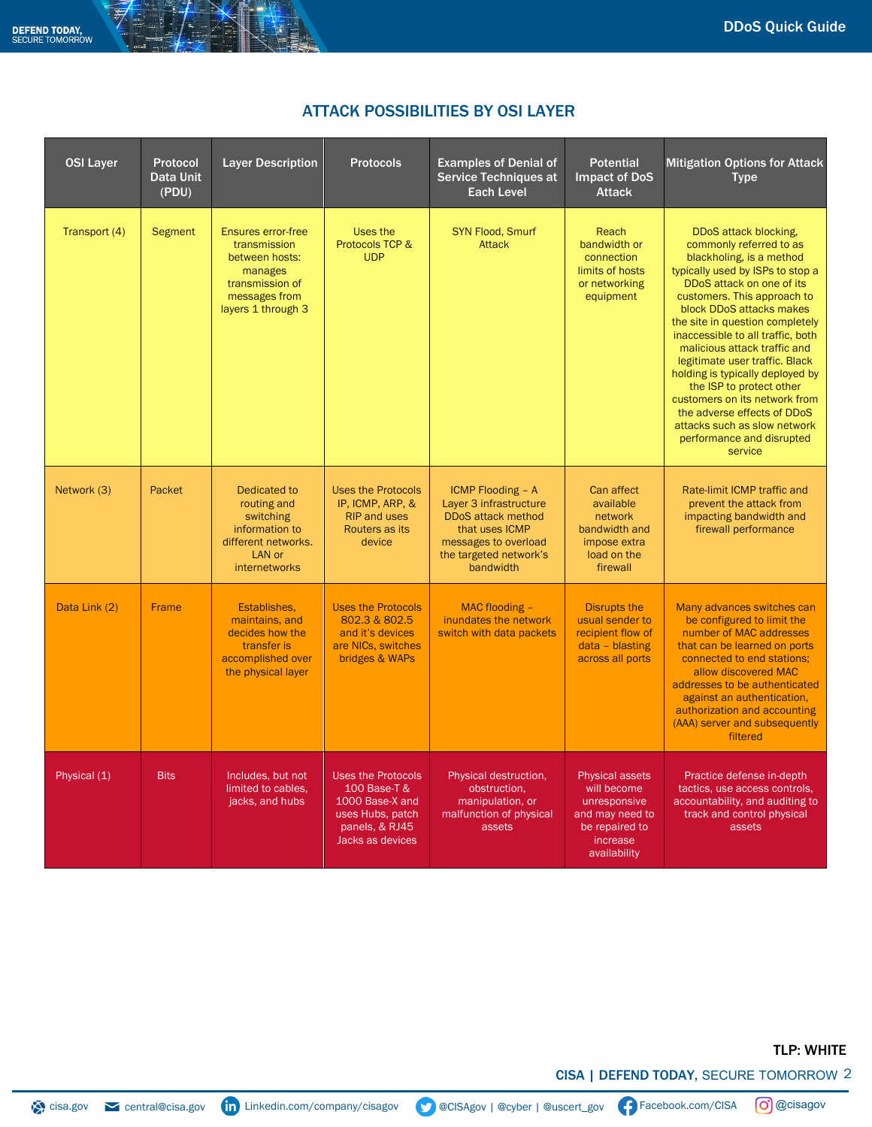## ATTACK POSSIBILITIES BY OSI LAYER

| <b>OSI Layer</b> | Protocol<br>Data Unit<br>(PDU) | <b>Layer Description</b>                                                                                                         | <b>Protocols</b>                                                                                                       | <b>Examples of Denial of</b><br>Service Techniques at<br><b>Each Level</b>                                                                                | <b>Potential</b><br><b>Impact of DoS</b><br><b>Attack</b>                                                              | <b>Mitigation Options for Attack</b><br><b>Type</b>                                                                                                                                                                                                                                                                                                                                                                                                                                                                                                        |
|------------------|--------------------------------|----------------------------------------------------------------------------------------------------------------------------------|------------------------------------------------------------------------------------------------------------------------|-----------------------------------------------------------------------------------------------------------------------------------------------------------|------------------------------------------------------------------------------------------------------------------------|------------------------------------------------------------------------------------------------------------------------------------------------------------------------------------------------------------------------------------------------------------------------------------------------------------------------------------------------------------------------------------------------------------------------------------------------------------------------------------------------------------------------------------------------------------|
| Transport (4)    | <b>Segment</b>                 | <b>Ensures error-free</b><br>transmission<br>between hosts:<br>manages<br>transmission of<br>messages from<br>layers 1 through 3 | Uses the<br>Protocols TCP &<br><b>UDP</b>                                                                              | <b>SYN Flood, Smurf</b><br><b>Attack</b>                                                                                                                  | Reach<br>bandwidth or<br>connection<br>limits of hosts<br>or networking<br>equipment                                   | DDoS attack blocking.<br>commonly referred to as<br>blackholing, is a method<br>typically used by ISPs to stop a<br>DDoS attack on one of its<br>customers. This approach to<br>block DDoS attacks makes<br>the site in question completely<br>inaccessible to all traffic, both<br>malicious attack traffic and<br>legitimate user traffic. Black<br>holding is typically deployed by<br>the ISP to protect other<br>customers on its network from<br>the adverse effects of DDoS<br>attacks such as slow network<br>performance and disrupted<br>service |
| Network (3)      | Packet                         | Dedicated to<br>routing and<br>switching<br>information to<br>different networks.<br>LAN or<br>internetworks                     | <b>Uses the Protocols</b><br>IP, ICMP, ARP, &<br><b>RIP and uses</b><br>Routers as its<br>device                       | ICMP Flooding - A<br>Layer 3 infrastructure<br><b>DDoS</b> attack method<br>that uses ICMP<br>messages to overload<br>the targeted network's<br>bandwidth | Can affect<br>available<br>network<br>bandwidth and<br>impose extra<br>load on the<br>firewall                         | Rate-limit ICMP traffic and<br>prevent the attack from<br>impacting bandwidth and<br>firewall performance                                                                                                                                                                                                                                                                                                                                                                                                                                                  |
| Data Link (2)    | Frame                          | Establishes.<br>maintains, and<br>decides how the<br>transfer is<br>accomplished over<br>the physical layer                      | <b>Uses the Protocols</b><br>802.3 & 802.5<br>and it's devices<br>are NICs, switches<br>bridges & WAPs                 | MAC flooding -<br>inundates the network<br>switch with data packets                                                                                       | <b>Disrupts the</b><br>usual sender to<br>recipient flow of<br>data - blasting<br>across all ports                     | Many advances switches can<br>be configured to limit the<br>number of MAC addresses<br>that can be learned on ports<br>connected to end stations:<br>allow discovered MAC<br>addresses to be authenticated<br>against an authentication,<br>authorization and accounting<br>(AAA) server and subsequently<br>filtered                                                                                                                                                                                                                                      |
| Physical (1)     | <b>Bits</b>                    | Includes, but not<br>limited to cables,<br>jacks, and hubs                                                                       | <b>Uses the Protocols</b><br>100 Base-T &<br>1000 Base-X and<br>uses Hubs, patch<br>panels, & RJ45<br>Jacks as devices | Physical destruction,<br>obstruction,<br>manipulation, or<br>malfunction of physical<br>assets                                                            | <b>Physical assets</b><br>will become<br>unresponsive<br>and may need to<br>be repaired to<br>increase<br>availability | Practice defense in-depth<br>tactics, use access controls,<br>accountability, and auditing to<br>track and control physical<br>assets                                                                                                                                                                                                                                                                                                                                                                                                                      |

## TLP: WHITE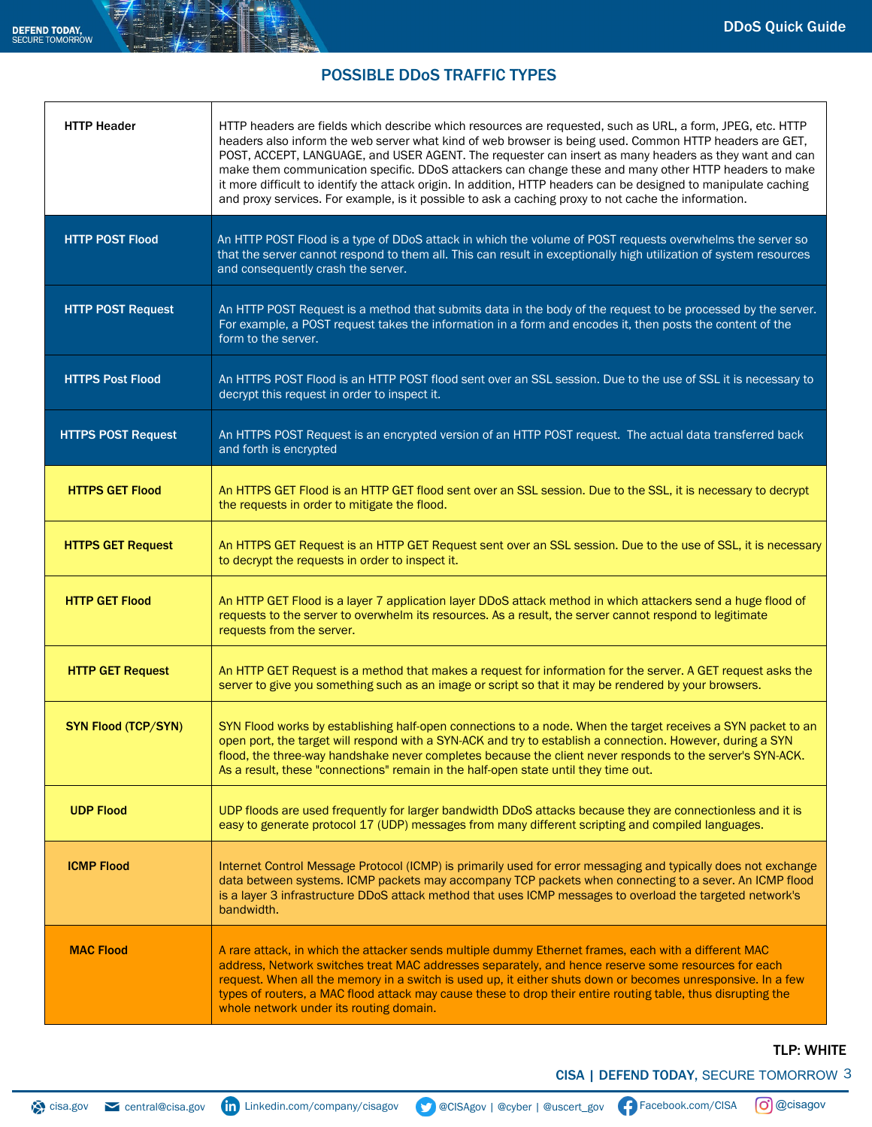## POSSIBLE DDoS TRAFFIC TYPES

| <b>HTTP Header</b>         | HTTP headers are fields which describe which resources are requested, such as URL, a form, JPEG, etc. HTTP<br>headers also inform the web server what kind of web browser is being used. Common HTTP headers are GET,<br>POST, ACCEPT, LANGUAGE, and USER AGENT. The requester can insert as many headers as they want and can<br>make them communication specific. DDoS attackers can change these and many other HTTP headers to make<br>it more difficult to identify the attack origin. In addition, HTTP headers can be designed to manipulate caching<br>and proxy services. For example, is it possible to ask a caching proxy to not cache the information. |
|----------------------------|---------------------------------------------------------------------------------------------------------------------------------------------------------------------------------------------------------------------------------------------------------------------------------------------------------------------------------------------------------------------------------------------------------------------------------------------------------------------------------------------------------------------------------------------------------------------------------------------------------------------------------------------------------------------|
| <b>HTTP POST Flood</b>     | An HTTP POST Flood is a type of DDoS attack in which the volume of POST requests overwhelms the server so<br>that the server cannot respond to them all. This can result in exceptionally high utilization of system resources<br>and consequently crash the server.                                                                                                                                                                                                                                                                                                                                                                                                |
| <b>HTTP POST Request</b>   | An HTTP POST Request is a method that submits data in the body of the request to be processed by the server.<br>For example, a POST request takes the information in a form and encodes it, then posts the content of the<br>form to the server.                                                                                                                                                                                                                                                                                                                                                                                                                    |
| <b>HTTPS Post Flood</b>    | An HTTPS POST Flood is an HTTP POST flood sent over an SSL session. Due to the use of SSL it is necessary to<br>decrypt this request in order to inspect it.                                                                                                                                                                                                                                                                                                                                                                                                                                                                                                        |
| <b>HTTPS POST Request</b>  | An HTTPS POST Request is an encrypted version of an HTTP POST request. The actual data transferred back<br>and forth is encrypted                                                                                                                                                                                                                                                                                                                                                                                                                                                                                                                                   |
| <b>HTTPS GET Flood</b>     | An HTTPS GET Flood is an HTTP GET flood sent over an SSL session. Due to the SSL, it is necessary to decrypt<br>the requests in order to mitigate the flood.                                                                                                                                                                                                                                                                                                                                                                                                                                                                                                        |
| <b>HTTPS GET Request</b>   | An HTTPS GET Request is an HTTP GET Request sent over an SSL session. Due to the use of SSL, it is necessary<br>to decrypt the requests in order to inspect it.                                                                                                                                                                                                                                                                                                                                                                                                                                                                                                     |
| <b>HTTP GET Flood</b>      | An HTTP GET Flood is a layer 7 application layer DDoS attack method in which attackers send a huge flood of<br>requests to the server to overwhelm its resources. As a result, the server cannot respond to legitimate<br>requests from the server.                                                                                                                                                                                                                                                                                                                                                                                                                 |
| <b>HTTP GET Request</b>    | An HTTP GET Request is a method that makes a request for information for the server. A GET request asks the<br>server to give you something such as an image or script so that it may be rendered by your browsers.                                                                                                                                                                                                                                                                                                                                                                                                                                                 |
| <b>SYN Flood (TCP/SYN)</b> | SYN Flood works by establishing half-open connections to a node. When the target receives a SYN packet to an<br>open port, the target will respond with a SYN-ACK and try to establish a connection. However, during a SYN<br>flood, the three-way handshake never completes because the client never responds to the server's SYN-ACK.<br>As a result, these "connections" remain in the half-open state until they time out.                                                                                                                                                                                                                                      |
| <b>UDP Flood</b>           | UDP floods are used frequently for larger bandwidth DDoS attacks because they are connectionless and it is<br>easy to generate protocol 17 (UDP) messages from many different scripting and compiled languages.                                                                                                                                                                                                                                                                                                                                                                                                                                                     |
| <b>ICMP Flood</b>          | Internet Control Message Protocol (ICMP) is primarily used for error messaging and typically does not exchange<br>data between systems. ICMP packets may accompany TCP packets when connecting to a sever. An ICMP flood<br>is a layer 3 infrastructure DDoS attack method that uses ICMP messages to overload the targeted network's<br>bandwidth.                                                                                                                                                                                                                                                                                                                 |
| <b>MAC Flood</b>           | A rare attack, in which the attacker sends multiple dummy Ethernet frames, each with a different MAC<br>address, Network switches treat MAC addresses separately, and hence reserve some resources for each<br>request. When all the memory in a switch is used up, it either shuts down or becomes unresponsive. In a few<br>types of routers, a MAC flood attack may cause these to drop their entire routing table, thus disrupting the<br>whole network under its routing domain.                                                                                                                                                                               |

## TLP: WHITE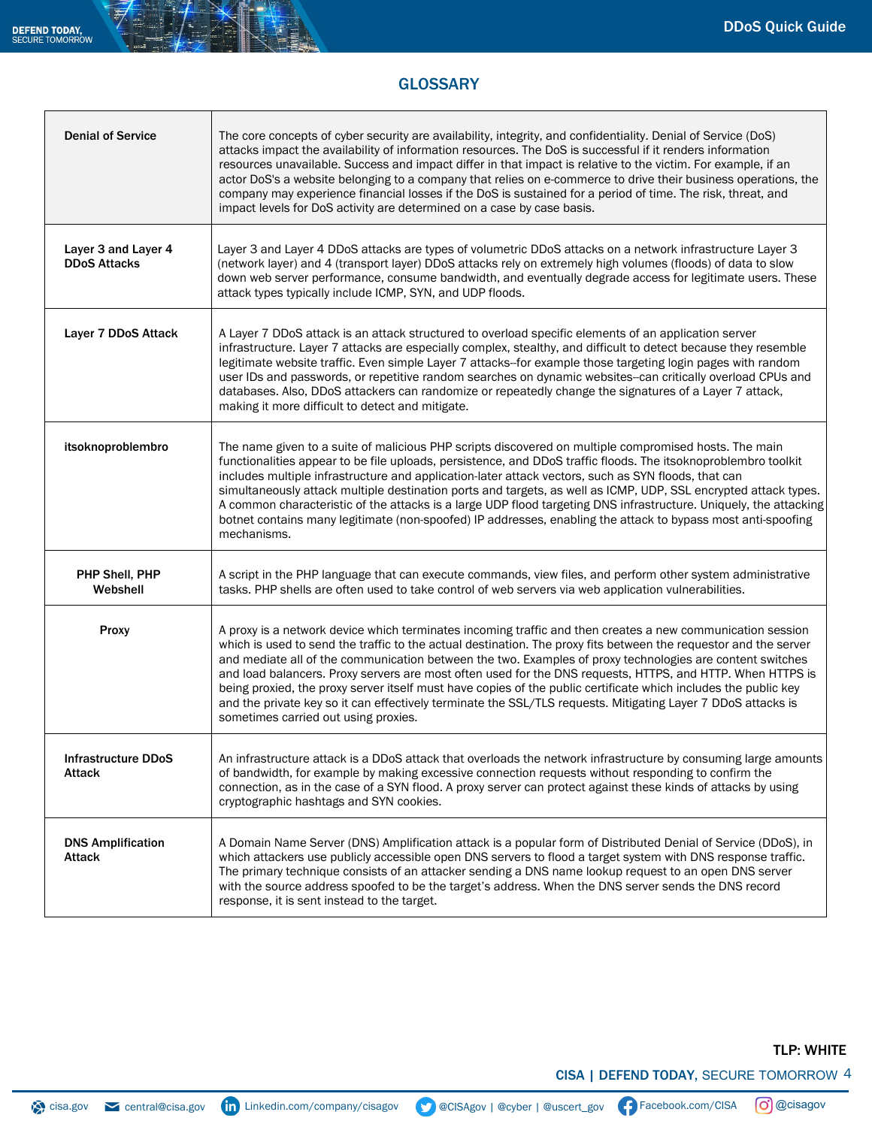## **GLOSSARY**

| <b>Denial of Service</b>                   | The core concepts of cyber security are availability, integrity, and confidentiality. Denial of Service (DoS)<br>attacks impact the availability of information resources. The DoS is successful if it renders information<br>resources unavailable. Success and impact differ in that impact is relative to the victim. For example, if an<br>actor DoS's a website belonging to a company that relies on e-commerce to drive their business operations, the<br>company may experience financial losses if the DoS is sustained for a period of time. The risk, threat, and<br>impact levels for DoS activity are determined on a case by case basis.                                                                               |
|--------------------------------------------|--------------------------------------------------------------------------------------------------------------------------------------------------------------------------------------------------------------------------------------------------------------------------------------------------------------------------------------------------------------------------------------------------------------------------------------------------------------------------------------------------------------------------------------------------------------------------------------------------------------------------------------------------------------------------------------------------------------------------------------|
| Layer 3 and Layer 4<br><b>DDoS Attacks</b> | Layer 3 and Layer 4 DDoS attacks are types of volumetric DDoS attacks on a network infrastructure Layer 3<br>(network layer) and 4 (transport layer) DDoS attacks rely on extremely high volumes (floods) of data to slow<br>down web server performance, consume bandwidth, and eventually degrade access for legitimate users. These<br>attack types typically include ICMP, SYN, and UDP floods.                                                                                                                                                                                                                                                                                                                                  |
| Layer 7 DDoS Attack                        | A Layer 7 DDoS attack is an attack structured to overload specific elements of an application server<br>infrastructure. Layer 7 attacks are especially complex, stealthy, and difficult to detect because they resemble<br>legitimate website traffic. Even simple Layer 7 attacks--for example those targeting login pages with random<br>user IDs and passwords, or repetitive random searches on dynamic websites--can critically overload CPUs and<br>databases. Also, DDoS attackers can randomize or repeatedly change the signatures of a Layer 7 attack,<br>making it more difficult to detect and mitigate.                                                                                                                 |
| itsoknoproblembro                          | The name given to a suite of malicious PHP scripts discovered on multiple compromised hosts. The main<br>functionalities appear to be file uploads, persistence, and DDoS traffic floods. The itsoknoproblembro toolkit<br>includes multiple infrastructure and application-later attack vectors, such as SYN floods, that can<br>simultaneously attack multiple destination ports and targets, as well as ICMP, UDP, SSL encrypted attack types.<br>A common characteristic of the attacks is a large UDP flood targeting DNS infrastructure. Uniquely, the attacking<br>botnet contains many legitimate (non-spoofed) IP addresses, enabling the attack to bypass most anti-spoofing<br>mechanisms.                                |
| PHP Shell, PHP<br>Webshell                 | A script in the PHP language that can execute commands, view files, and perform other system administrative<br>tasks. PHP shells are often used to take control of web servers via web application vulnerabilities.                                                                                                                                                                                                                                                                                                                                                                                                                                                                                                                  |
| Proxy                                      | A proxy is a network device which terminates incoming traffic and then creates a new communication session<br>which is used to send the traffic to the actual destination. The proxy fits between the requestor and the server<br>and mediate all of the communication between the two. Examples of proxy technologies are content switches<br>and load balancers. Proxy servers are most often used for the DNS requests, HTTPS, and HTTP. When HTTPS is<br>being proxied, the proxy server itself must have copies of the public certificate which includes the public key<br>and the private key so it can effectively terminate the SSL/TLS requests. Mitigating Layer 7 DDoS attacks is<br>sometimes carried out using proxies. |
| <b>Infrastructure DDoS</b><br>Attack       | An infrastructure attack is a DDoS attack that overloads the network infrastructure by consuming large amounts<br>of bandwidth, for example by making excessive connection requests without responding to confirm the<br>connection, as in the case of a SYN flood. A proxy server can protect against these kinds of attacks by using<br>cryptographic hashtags and SYN cookies.                                                                                                                                                                                                                                                                                                                                                    |
| <b>DNS Amplification</b><br>Attack         | A Domain Name Server (DNS) Amplification attack is a popular form of Distributed Denial of Service (DDoS), in<br>which attackers use publicly accessible open DNS servers to flood a target system with DNS response traffic.<br>The primary technique consists of an attacker sending a DNS name lookup request to an open DNS server<br>with the source address spoofed to be the target's address. When the DNS server sends the DNS record<br>response, it is sent instead to the target.                                                                                                                                                                                                                                        |

## TLP: WHITE